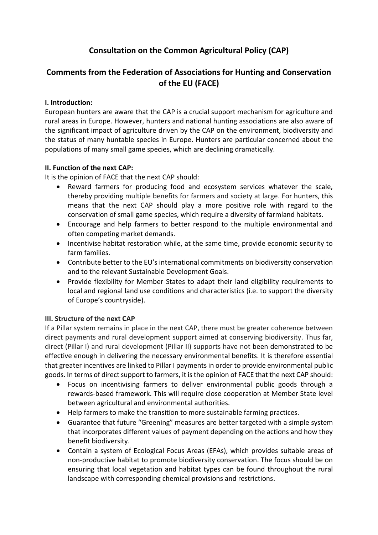# **Consultation on the Common Agricultural Policy (CAP)**

# **Comments from the Federation of Associations for Hunting and Conservation of the EU (FACE)**

### **I. Introduction:**

European hunters are aware that the CAP is a crucial support mechanism for agriculture and rural areas in Europe. However, hunters and national hunting associations are also aware of the significant impact of agriculture driven by the CAP on the environment, biodiversity and the status of many huntable species in Europe. Hunters are particular concerned about the populations of many small game species, which are declining dramatically.

#### **II. Function of the next CAP:**

It is the opinion of FACE that the next CAP should:

- Reward farmers for producing food and ecosystem services whatever the scale, thereby providing multiple benefits for farmers and society at large. For hunters, this means that the next CAP should play a more positive role with regard to the conservation of small game species, which require a diversity of farmland habitats.
- Encourage and help farmers to better respond to the multiple environmental and often competing market demands.
- Incentivise habitat restoration while, at the same time, provide economic security to farm families.
- Contribute better to the EU's international commitments on biodiversity conservation and to the relevant Sustainable Development Goals.
- Provide flexibility for Member States to adapt their land eligibility requirements to local and regional land use conditions and characteristics (i.e. to support the diversity of Europe's countryside).

### **III. Structure of the next CAP**

If a Pillar system remains in place in the next CAP, there must be greater coherence between direct payments and rural development support aimed at conserving biodiversity. Thus far, direct (Pillar I) and rural development (Pillar II) supports have not been demonstrated to be effective enough in delivering the necessary environmental benefits. It is therefore essential that greater incentives are linked to Pillar I paymentsin order to provide environmental public goods. In terms of direct support to farmers, it is the opinion of FACE that the next CAP should:

- Focus on incentivising farmers to deliver environmental public goods through a rewards-based framework. This will require close cooperation at Member State level between agricultural and environmental authorities.
- Help farmers to make the transition to more sustainable farming practices.
- Guarantee that future "Greening" measures are better targeted with a simple system that incorporates different values of payment depending on the actions and how they benefit biodiversity.
- Contain a system of Ecological Focus Areas (EFAs), which provides suitable areas of non-productive habitat to promote biodiversity conservation. The focus should be on ensuring that local vegetation and habitat types can be found throughout the rural landscape with corresponding chemical provisions and restrictions.